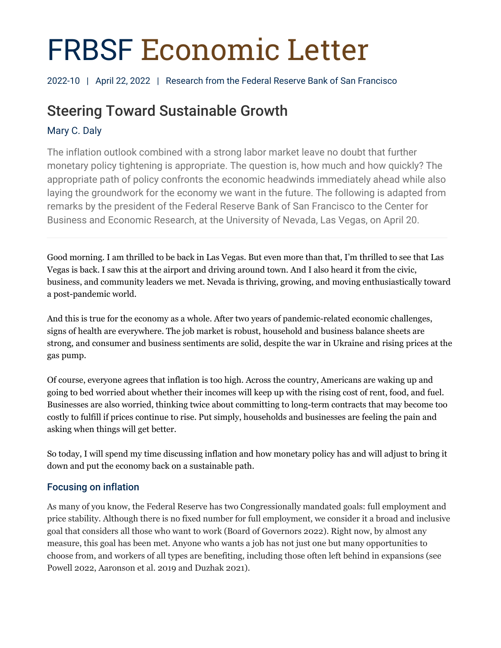# FRBSF Economic Letter

2022-10 | April 22, 2022 | Research from the Federal Reserve Bank of San Francisco

# Steering Toward Sustainable Growth

# Mary C. Daly

The inflation outlook combined with a strong labor market leave no doubt that further monetary policy tightening is appropriate. The question is, how much and how quickly? The appropriate path of policy confronts the economic headwinds immediately ahead while also laying the groundwork for the economy we want in the future. The following is adapted from remarks by the president of the Federal Reserve Bank of San Francisco to the Center for Business and Economic Research, at the University of Nevada, Las Vegas, on April 20.

Good morning. I am thrilled to be back in Las Vegas. But even more than that, I'm thrilled to see that Las Vegas is back. I saw this at the airport and driving around town. And I also heard it from the civic, business, and community leaders we met. Nevada is thriving, growing, and moving enthusiastically toward a post-pandemic world.

And this is true for the economy as a whole. After two years of pandemic-related economic challenges, signs of health are everywhere. The job market is robust, household and business balance sheets are strong, and consumer and business sentiments are solid, despite the war in Ukraine and rising prices at the gas pump.

Of course, everyone agrees that inflation is too high. Across the country, Americans are waking up and going to bed worried about whether their incomes will keep up with the rising cost of rent, food, and fuel. Businesses are also worried, thinking twice about committing to long-term contracts that may become too costly to fulfill if prices continue to rise. Put simply, households and businesses are feeling the pain and asking when things will get better.

So today, I will spend my time discussing inflation and how monetary policy has and will adjust to bring it down and put the economy back on a sustainable path.

## Focusing on inflation

As many of you know, the Federal Reserve has two Congressionally mandated goals: full employment and price stability. Although there is no fixed number for full employment, we consider it a broad and inclusive goal that considers all those who want to work (Board of Governors 2022). Right now, by almost any measure, this goal has been met. Anyone who wants a job has not just one but many opportunities to choose from, and workers of all types are benefiting, including those often left behind in expansions (see Powell 2022, Aaronson et al. 2019 and Duzhak 2021).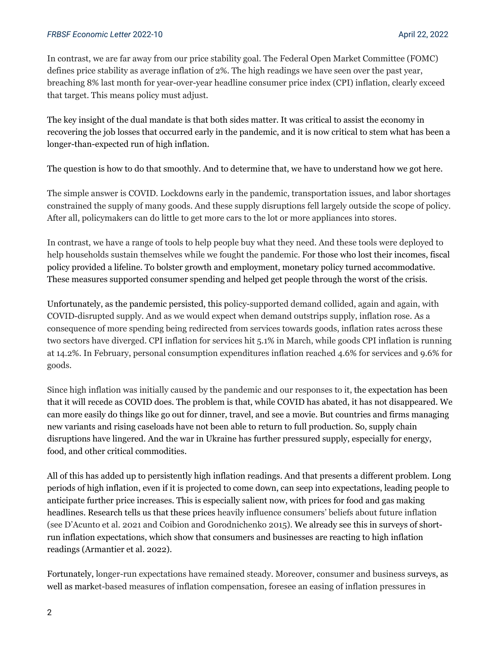#### *FRBSF Economic Letter* 2022-10 April 22, 2022

In contrast, we are far away from our price stability goal. The Federal Open Market Committee (FOMC) defines price stability as average inflation of 2%. The high readings we have seen over the past year, breaching 8% last month for year-over-year headline consumer price index (CPI) inflation, clearly exceed that target. This means policy must adjust.

The key insight of the dual mandate is that both sides matter. It was critical to assist the economy in recovering the job losses that occurred early in the pandemic, and it is now critical to stem what has been a longer-than-expected run of high inflation.

The question is how to do that smoothly. And to determine that, we have to understand how we got here.

The simple answer is COVID. Lockdowns early in the pandemic, transportation issues, and labor shortages constrained the supply of many goods. And these supply disruptions fell largely outside the scope of policy. After all, policymakers can do little to get more cars to the lot or more appliances into stores.

In contrast, we have a range of tools to help people buy what they need. And these tools were deployed to help households sustain themselves while we fought the pandemic. For those who lost their incomes, fiscal policy provided a lifeline. To bolster growth and employment, monetary policy turned accommodative. These measures supported consumer spending and helped get people through the worst of the crisis.

Unfortunately, as the pandemic persisted, this policy-supported demand collided, again and again, with COVID-disrupted supply. And as we would expect when demand outstrips supply, inflation rose. As a consequence of more spending being redirected from services towards goods, inflation rates across these two sectors have diverged. CPI inflation for services hit 5.1% in March, while goods CPI inflation is running at 14.2%. In February, personal consumption expenditures inflation reached 4.6% for services and 9.6% for goods.

Since high inflation was initially caused by the pandemic and our responses to it, the expectation has been that it will recede as COVID does. The problem is that, while COVID has abated, it has not disappeared. We can more easily do things like go out for dinner, travel, and see a movie. But countries and firms managing new variants and rising caseloads have not been able to return to full production. So, supply chain disruptions have lingered. And the war in Ukraine has further pressured supply, especially for energy, food, and other critical commodities.

All of this has added up to persistently high inflation readings. And that presents a different problem. Long periods of high inflation, even if it is projected to come down, can seep into expectations, leading people to anticipate further price increases. This is especially salient now, with prices for food and gas making headlines. Research tells us that these prices heavily influence consumers' beliefs about future inflation (see D'Acunto et al. 2021 and Coibion and Gorodnichenko 2015). We already see this in surveys of shortrun inflation expectations, which show that consumers and businesses are reacting to high inflation readings (Armantier et al. 2022).

Fortunately, longer-run expectations have remained steady. Moreover, consumer and business surveys, as well as market-based measures of inflation compensation, foresee an easing of inflation pressures in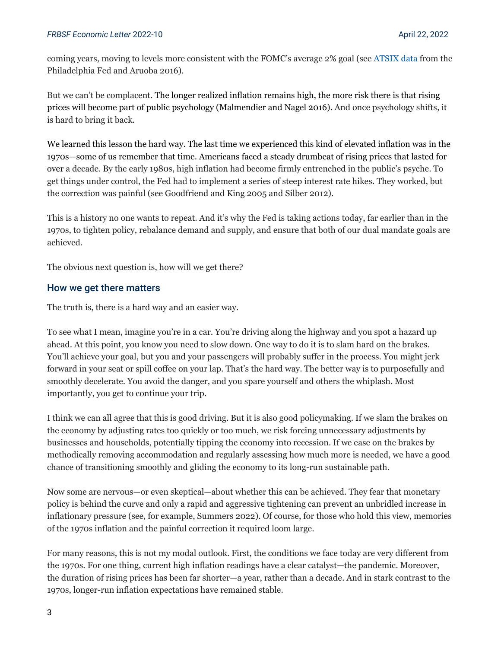coming years, moving to levels more consistent with the FOMC's average 2% goal (see [ATSIX data](https://www.philadelphiafed.org/surveys-and-data/real-time-data-research/atsix) from the Philadelphia Fed and Aruoba 2016).

But we can't be complacent. The longer realized inflation remains high, the more risk there is that rising prices will become part of public psychology (Malmendier and Nagel 2016). And once psychology shifts, it is hard to bring it back.

We learned this lesson the hard way. The last time we experienced this kind of elevated inflation was in the 1970s—some of us remember that time. Americans faced a steady drumbeat of rising prices that lasted for over a decade. By the early 1980s, high inflation had become firmly entrenched in the public's psyche. To get things under control, the Fed had to implement a series of steep interest rate hikes. They worked, but the correction was painful (see Goodfriend and King 2005 and Silber 2012).

This is a history no one wants to repeat. And it's why the Fed is taking actions today, far earlier than in the 1970s, to tighten policy, rebalance demand and supply, and ensure that both of our dual mandate goals are achieved.

The obvious next question is, how will we get there?

#### How we get there matters

The truth is, there is a hard way and an easier way.

To see what I mean, imagine you're in a car. You're driving along the highway and you spot a hazard up ahead. At this point, you know you need to slow down. One way to do it is to slam hard on the brakes. You'll achieve your goal, but you and your passengers will probably suffer in the process. You might jerk forward in your seat or spill coffee on your lap. That's the hard way. The better way is to purposefully and smoothly decelerate. You avoid the danger, and you spare yourself and others the whiplash. Most importantly, you get to continue your trip.

I think we can all agree that this is good driving. But it is also good policymaking. If we slam the brakes on the economy by adjusting rates too quickly or too much, we risk forcing unnecessary adjustments by businesses and households, potentially tipping the economy into recession. If we ease on the brakes by methodically removing accommodation and regularly assessing how much more is needed, we have a good chance of transitioning smoothly and gliding the economy to its long-run sustainable path.

Now some are nervous—or even skeptical—about whether this can be achieved. They fear that monetary policy is behind the curve and only a rapid and aggressive tightening can prevent an unbridled increase in inflationary pressure (see, for example, Summers 2022). Of course, for those who hold this view, memories of the 1970s inflation and the painful correction it required loom large.

For many reasons, this is not my modal outlook. First, the conditions we face today are very different from the 1970s. For one thing, current high inflation readings have a clear catalyst—the pandemic. Moreover, the duration of rising prices has been far shorter—a year, rather than a decade. And in stark contrast to the 1970s, longer-run inflation expectations have remained stable.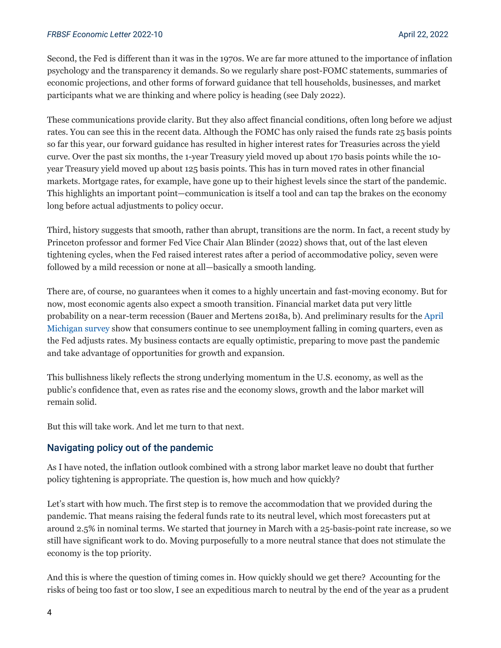#### *FRBSF Economic Letter* 2022-10 April 22, 2022

Second, the Fed is different than it was in the 1970s. We are far more attuned to the importance of inflation psychology and the transparency it demands. So we regularly share post-FOMC statements, summaries of economic projections, and other forms of forward guidance that tell households, businesses, and market participants what we are thinking and where policy is heading (see Daly 2022).

These communications provide clarity. But they also affect financial conditions, often long before we adjust rates. You can see this in the recent data. Although the FOMC has only raised the funds rate 25 basis points so far this year, our forward guidance has resulted in higher interest rates for Treasuries across the yield curve. Over the past six months, the 1-year Treasury yield moved up about 170 basis points while the 10 year Treasury yield moved up about 125 basis points. This has in turn moved rates in other financial markets. Mortgage rates, for example, have gone up to their highest levels since the start of the pandemic. This highlights an important point—communication is itself a tool and can tap the brakes on the economy long before actual adjustments to policy occur.

Third, history suggests that smooth, rather than abrupt, transitions are the norm. In fact, a recent study by Princeton professor and former Fed Vice Chair Alan Blinder (2022) shows that, out of the last eleven tightening cycles, when the Fed raised interest rates after a period of accommodative policy, seven were followed by a mild recession or none at all—basically a smooth landing.

There are, of course, no guarantees when it comes to a highly uncertain and fast-moving economy. But for now, most economic agents also expect a smooth transition. Financial market data put very little probability on a near-term recession (Bauer and Mertens 2018a, b). And preliminary results for the [April](https://data.sca.isr.umich.edu/fetchdoc.php?docid=69819)  [Michigan survey](https://data.sca.isr.umich.edu/fetchdoc.php?docid=69819) show that consumers continue to see unemployment falling in coming quarters, even as the Fed adjusts rates. My business contacts are equally optimistic, preparing to move past the pandemic and take advantage of opportunities for growth and expansion.

This bullishness likely reflects the strong underlying momentum in the U.S. economy, as well as the public's confidence that, even as rates rise and the economy slows, growth and the labor market will remain solid.

But this will take work. And let me turn to that next.

#### Navigating policy out of the pandemic

As I have noted, the inflation outlook combined with a strong labor market leave no doubt that further policy tightening is appropriate. The question is, how much and how quickly?

Let's start with how much. The first step is to remove the accommodation that we provided during the pandemic. That means raising the federal funds rate to its neutral level, which most forecasters put at around 2.5% in nominal terms. We started that journey in March with a 25-basis-point rate increase, so we still have significant work to do. Moving purposefully to a more neutral stance that does not stimulate the economy is the top priority.

And this is where the question of timing comes in. How quickly should we get there? Accounting for the risks of being too fast or too slow, I see an expeditious march to neutral by the end of the year as a prudent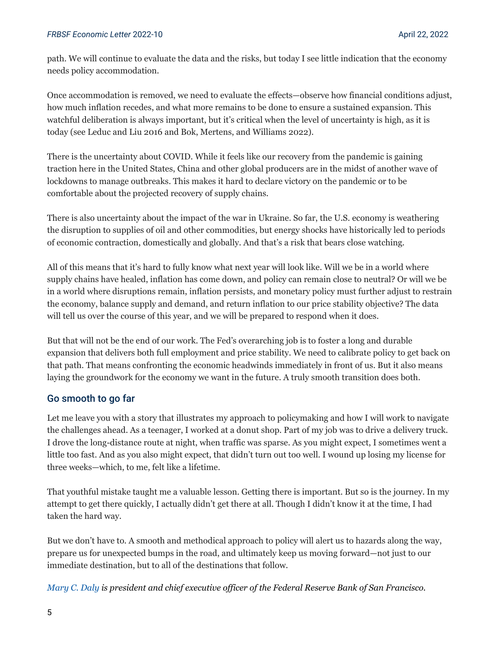path. We will continue to evaluate the data and the risks, but today I see little indication that the economy needs policy accommodation.

Once accommodation is removed, we need to evaluate the effects—observe how financial conditions adjust, how much inflation recedes, and what more remains to be done to ensure a sustained expansion. This watchful deliberation is always important, but it's critical when the level of uncertainty is high, as it is today (see Leduc and Liu 2016 and Bok, Mertens, and Williams 2022).

There is the uncertainty about COVID. While it feels like our recovery from the pandemic is gaining traction here in the United States, China and other global producers are in the midst of another wave of lockdowns to manage outbreaks. This makes it hard to declare victory on the pandemic or to be comfortable about the projected recovery of supply chains.

There is also uncertainty about the impact of the war in Ukraine. So far, the U.S. economy is weathering the disruption to supplies of oil and other commodities, but energy shocks have historically led to periods of economic contraction, domestically and globally. And that's a risk that bears close watching.

All of this means that it's hard to fully know what next year will look like. Will we be in a world where supply chains have healed, inflation has come down, and policy can remain close to neutral? Or will we be in a world where disruptions remain, inflation persists, and monetary policy must further adjust to restrain the economy, balance supply and demand, and return inflation to our price stability objective? The data will tell us over the course of this year, and we will be prepared to respond when it does.

But that will not be the end of our work. The Fed's overarching job is to foster a long and durable expansion that delivers both full employment and price stability. We need to calibrate policy to get back on that path. That means confronting the economic headwinds immediately in front of us. But it also means laying the groundwork for the economy we want in the future. A truly smooth transition does both.

### Go smooth to go far

Let me leave you with a story that illustrates my approach to policymaking and how I will work to navigate the challenges ahead. As a teenager, I worked at a donut shop. Part of my job was to drive a delivery truck. I drove the long-distance route at night, when traffic was sparse. As you might expect, I sometimes went a little too fast. And as you also might expect, that didn't turn out too well. I wound up losing my license for three weeks—which, to me, felt like a lifetime.

That youthful mistake taught me a valuable lesson. Getting there is important. But so is the journey. In my attempt to get there quickly, I actually didn't get there at all. Though I didn't know it at the time, I had taken the hard way.

But we don't have to. A smooth and methodical approach to policy will alert us to hazards along the way, prepare us for unexpected bumps in the road, and ultimately keep us moving forward—not just to our immediate destination, but to all of the destinations that follow.

*[Mary C. Daly i](https://www.frbsf.org/economic-research/economists/mary-c-daly/)s president and chief executive officer of the Federal Reserve Bank of San Francisco.*